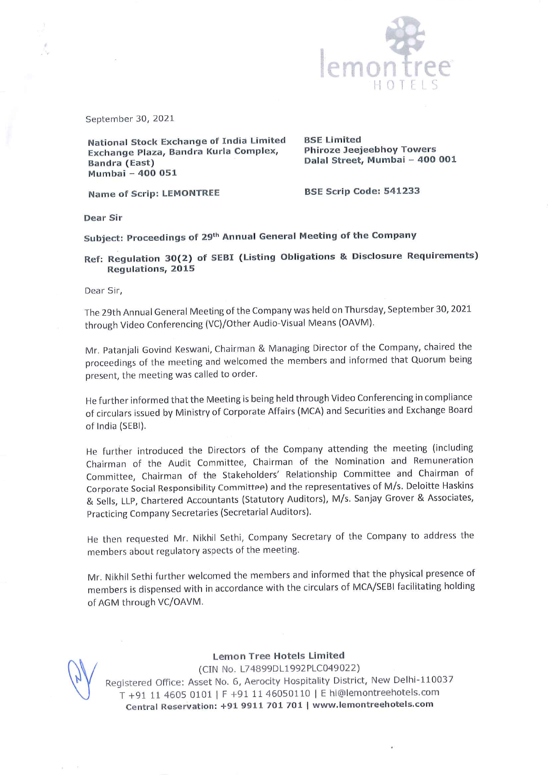

September 30, <sup>2021</sup>

National Stock Exchange of India Limited Exchange Plaza, Bandra Kurla Complex, Bandra (East) Mumbai - 400 051

BSE Limited Phiroze Jeejeebhoy Towers Dalal Street, Mumbai - 400 001

Name of Scrip: LEMONTREE

BSE Scrip Code: <sup>541233</sup>

Dear Sir

Subject: Proceedings of 29<sup>th</sup> Annual General Meeting of the Company

Ref: Regulation 30(2) of SEBI (Listing Obligations & Disclosure Requirements) Regulations, <sup>2015</sup>

Dear Sir,

The 29th Annual General Meeting of the Company was held on Thursday, September 30, <sup>2021</sup> through Video Conferencing (VC)/Other Audio-Visual Means (OAVM).

Mr. Patanjali Govind Keswani, Chairman & Managing Director of the Company, chaired the proceedings of the meeting and welcomed the members and informed that Quorum being present, the meeting was called to order.

He further informed that the Meeting is being held through Video Conferencing in compliance of circulars issued by Ministry of Corporate Affairs (MCA) and Securities and Exchange Board of India (SEBI).

He further introduced the Directors of the Company attending the meeting (including Chairman of the Audit Committee, Chairman of the Nomination and Remuneration Committee, Chairman of the Stakeholders' Relationship Committee and Chairman of Corporate Social Responsibility Committee) and the representatives of M/s. Deloitte Haskins & Sells, LLP, Chartered Accountants (Statutory Auditors), M/s. Sanjay Grover & Associates, Practicing Company Secretaries (Secretarial Auditors).

He then requested Mr. Nikhil Sethi, Company Secretary of the Company to address the members about regulatory aspects of the meeting.

Mr. Nikhil Sethi further welcomed the members and informed that the <sup>p</sup>hysical presence of members is dispensed with in accordance with the circulars of MCA/SEBI facilitating holding of AGM through VC/OAVM.



Lemon Tree Hotels Limited (CIN No. L74899DL1992PLC049022) Registered Office: Asset No. 6, Aerocity Hospitality District, New Delhi-110037 <sup>T</sup> +91 <sup>11</sup> <sup>4605</sup> <sup>0101</sup> IF +911146050110 IE hi@lemontreehotels.com Central Reservation: +91 <sup>9911</sup> <sup>701</sup> <sup>701</sup> <sup>I</sup> www.lemontreehotels.com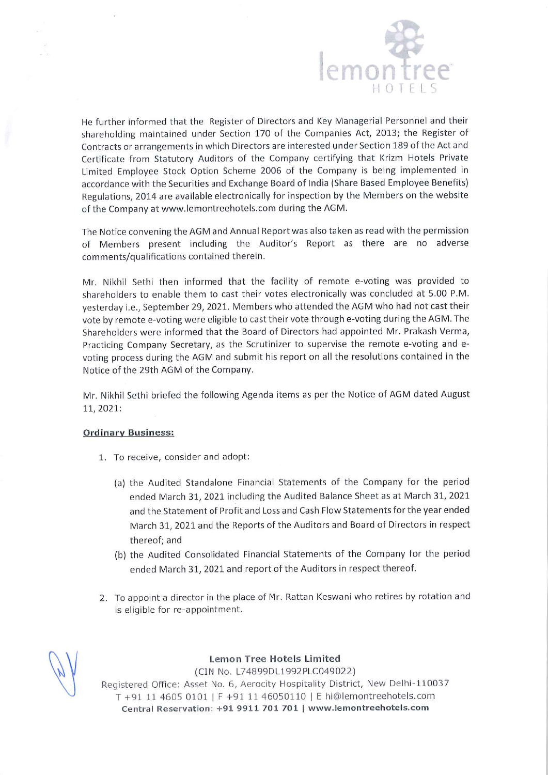

He further informed that the Register of Directors and Key Managerial Personnel and their shareholding maintained under Section <sup>170</sup> of the Companies Act, 2013; the Register of Contracts or arrangements in which Directors are interested under Section <sup>189</sup> of the Act and Certificate from Statutory Auditors of the Company certifying that Krizm Hotels Private Limited Employee Stock Option Scheme <sup>2006</sup> of the Company is being implemented in accordance with the Securities and Exchange Board of India (Share Based Employee Benefits) Regulations, <sup>2014</sup> are available electronically for inspection by the Members on the website of the Company at www.lemontreehotels.com during the AGM.

The Notice convening the AGM and Annual Report was also taken as read with the permission of Members presen<sup>t</sup> including the Auditor's Report as there are no adverse comments/qualifications contained therein.

Mr. Nikhil Sethi then informed that the facility of remote e-voting was provided to shareholders to enable them to cast their votes electronically was concluded at 5.00 P.M. yesterday i.e., September 29, 2021. Members who attended the AGM who had not cast their vote by remote e-voting were eligible to cast their vote through e-voting during the AGM. The Shareholders were informed that the Board of Directors had appointed Mr. Prakash Verma, Practicing Company Secretary, as the Scrutinizer to supervise the remote e-voting and evoting process during the AGM and submit his repor<sup>t</sup> on all the resolutions contained in the Notice of the 29th AGM of the Company.

Mr. Nikhil Sethi briefed the following Agenda items as per the Notice of AGM dated August 11, 2021:

## Ordinary Business:

- 1. To receive, consider and adopt:
	- (a) the Audited Standalone Financial Statements of the Company for the period ended March 31, <sup>2021</sup> including the Audited Balance Sheet as at March 31, <sup>2021</sup> and the Statement of Profit and Loss and Cash Flow Statements for the year ended March 31, <sup>2021</sup> and the Reports of the Auditors and Board of Directors in respec<sup>t</sup> thereof; and
	- (b) the Audited Consolidated Financial Statements of the Company for the period ended March 31, <sup>2021</sup> and repor<sup>t</sup> of the Auditors in respec<sup>t</sup> thereof.
- 2. To appoint <sup>a</sup> director in the <sup>p</sup>lace of Mr. Rattan Keswani who retires by rotation and is eligible for re-appointment.



Lemon Tree Hotels Limited

(CIN No. L74899DL1992PLC049022) Registered Office: Asset No. 6, Aerocity Hospitality District, New Delhi-110037 <sup>T</sup> +91 <sup>11</sup> <sup>4605</sup> 0101 IF +9111 <sup>46050110</sup> IE hi@lemontreehotels.com Central Reservation: +91 9911 701 701 I www.lemontreehotels.com